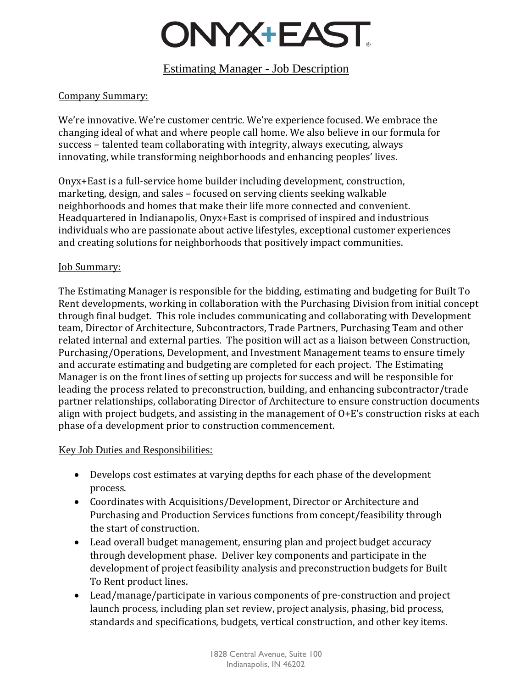## ONYX+EAST.

## Estimating Manager - Job Description

#### Company Summary:

We're innovative. We're customer centric. We're experience focused. We embrace the changing ideal of what and where people call home. We also believe in our formula for success – talented team collaborating with integrity, always executing, always innovating, while transforming neighborhoods and enhancing peoples' lives.

Onyx+East is a full-service home builder including development, construction, marketing, design, and sales – focused on serving clients seeking walkable neighborhoods and homes that make their life more connected and convenient. Headquartered in Indianapolis, Onyx+East is comprised of inspired and industrious individuals who are passionate about active lifestyles, exceptional customer experiences and creating solutions for neighborhoods that positively impact communities.

#### **Job Summary:**

The Estimating Manager is responsible for the bidding, estimating and budgeting for Built To Rent developments, working in collaboration with the Purchasing Division from initial concept through final budget. This role includes communicating and collaborating with Development team, Director of Architecture, Subcontractors, Trade Partners, Purchasing Team and other related internal and external parties. The position will act as a liaison between Construction, Purchasing/Operations, Development, and Investment Management teams to ensure timely and accurate estimating and budgeting are completed for each project. The Estimating Manager is on the front lines of setting up projects for success and will be responsible for leading the process related to preconstruction, building, and enhancing subcontractor/trade partner relationships, collaborating Director of Architecture to ensure construction documents align with project budgets, and assisting in the management of O+E's construction risks at each phase of a development prior to construction commencement.

#### Key Job Duties and Responsibilities:

- Develops cost estimates at varying depths for each phase of the development process.
- Coordinates with Acquisitions/Development, Director or Architecture and Purchasing and Production Services functions from concept/feasibility through the start of construction.
- Lead overall budget management, ensuring plan and project budget accuracy through development phase. Deliver key components and participate in the development of project feasibility analysis and preconstruction budgets for Built To Rent product lines.
- Lead/manage/participate in various components of pre-construction and project launch process, including plan set review, project analysis, phasing, bid process, standards and specifications, budgets, vertical construction, and other key items.